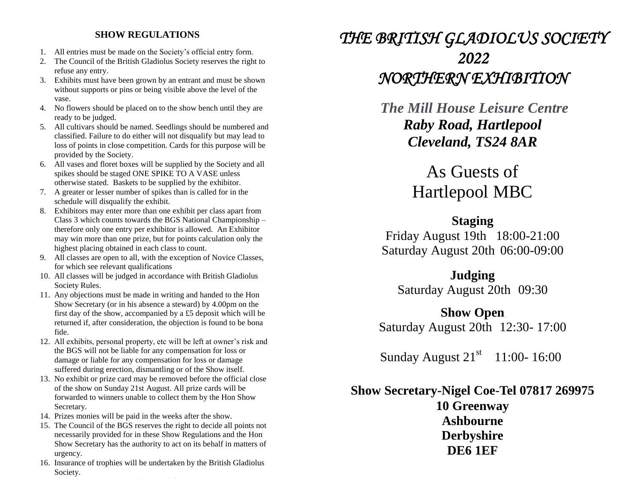## **SHOW REGULATIONS**

- 1. All entries must be made on the Society's official entry form.
- 2. The Council of the British Gladiolus Society reserves the right to refuse any entry.
- 3. Exhibits must have been grown by an entrant and must be shown without supports or pins or being visible above the level of the vase.
- 4. No flowers should be placed on to the show bench until they are ready to be judged.
- 5. All cultivars should be named. Seedlings should be numbered and classified. Failure to do either will not disqualify but may lead to loss of points in close competition. Cards for this purpose will be provided by the Society.
- 6. All vases and floret boxes will be supplied by the Society and all spikes should be staged ONE SPIKE TO A VASE unless otherwise stated. Baskets to be supplied by the exhibitor.
- 7. A greater or lesser number of spikes than is called for in the schedule will disqualify the exhibit.
- 8. Exhibitors may enter more than one exhibit per class apart from Class 3 which counts towards the BGS National Championship – therefore only one entry per exhibitor is allowed. An Exhibitor may win more than one prize, but for points calculation only the highest placing obtained in each class to count.
- 9. All classes are open to all, with the exception of Novice Classes, for which see relevant qualifications
- 10. All classes will be judged in accordance with British Gladiolus Society Rules.
- 11. Any objections must be made in writing and handed to the Hon Show Secretary (or in his absence a steward) by 4.00pm on the first day of the show, accompanied by a £5 deposit which will be returned if, after consideration, the objection is found to be bona fide.
- 12. All exhibits, personal property, etc will be left at owner's risk and the BGS will not be liable for any compensation for loss or damage or liable for any compensation for loss or damage suffered during erection, dismantling or of the Show itself.
- 13. No exhibit or prize card may be removed before the official close of the show on Sunday 21st August. All prize cards will be forwarded to winners unable to collect them by the Hon Show Secretary.
- 14. Prizes monies will be paid in the weeks after the show.
- 15. The Council of the BGS reserves the right to decide all points not necessarily provided for in these Show Regulations and the Hon Show Secretary has the authority to act on its behalf in matters of urgency.
- 16. Insurance of trophies will be undertaken by the British Gladiolus Society.

## *THE BRITISH GLADIOLUS SOCIETY 2022 NORTHERN EXHIBITION*

*The Mill House Leisure Centre Raby Road, Hartlepool Cleveland, TS24 8AR*

## As Guests of Hartlepool MBC

**Staging** Friday August 19th 18:00-21:00 Saturday August 20th 06:00-09:00

**Judging** Saturday August 20th 09:30

**Show Open** Saturday August 20th 12:30- 17:00

Sunday August 21<sup>st</sup> 11:00-16:00

**Show Secretary-Nigel Coe**-**Tel 07817 269975 10 Greenway Ashbourne Derbyshire DE6 1EF**